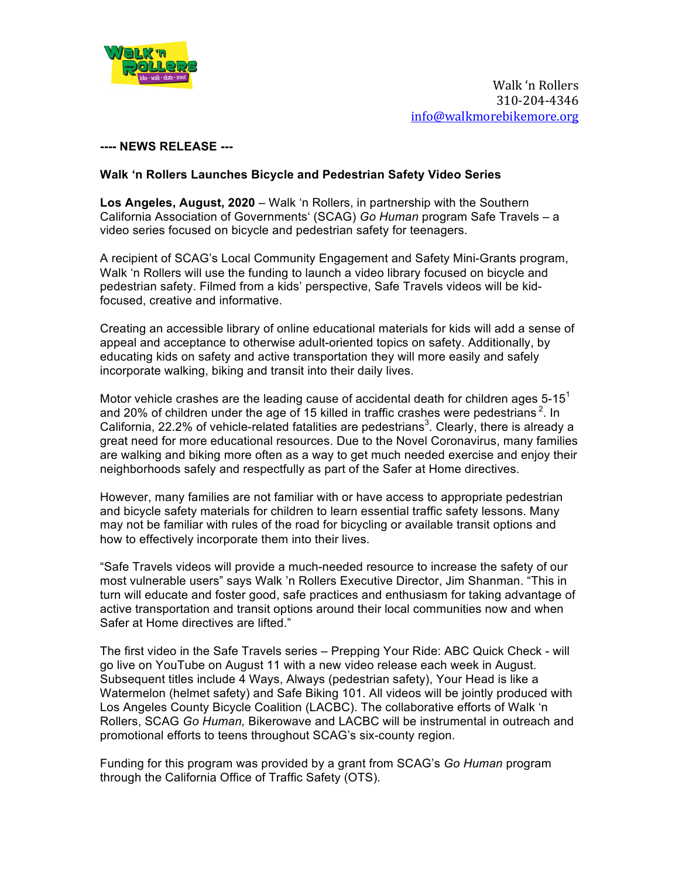

Walk 'n Rollers 310-204-4346 info@walkmorebikemore.org

## **---- NEWS RELEASE ---**

## **Walk 'n Rollers Launches Bicycle and Pedestrian Safety Video Series**

**Los Angeles, August, 2020** – Walk 'n Rollers, in partnership with the Southern California Association of Governments' (SCAG) *Go Human* program Safe Travels – a video series focused on bicycle and pedestrian safety for teenagers.

A recipient of SCAG's Local Community Engagement and Safety Mini-Grants program, Walk 'n Rollers will use the funding to launch a video library focused on bicycle and pedestrian safety. Filmed from a kids' perspective, Safe Travels videos will be kidfocused, creative and informative.

Creating an accessible library of online educational materials for kids will add a sense of appeal and acceptance to otherwise adult-oriented topics on safety. Additionally, by educating kids on safety and active transportation they will more easily and safely incorporate walking, biking and transit into their daily lives.

Motor vehicle crashes are the leading cause of accidental death for children ages  $5-15<sup>1</sup>$ and 20% of children under the age of 15 killed in traffic crashes were pedestrians<sup>2</sup>. In California, 22.2% of vehicle-related fatalities are pedestrians<sup>3</sup>. Clearly, there is already a great need for more educational resources. Due to the Novel Coronavirus, many families are walking and biking more often as a way to get much needed exercise and enjoy their neighborhoods safely and respectfully as part of the Safer at Home directives.

However, many families are not familiar with or have access to appropriate pedestrian and bicycle safety materials for children to learn essential traffic safety lessons. Many may not be familiar with rules of the road for bicycling or available transit options and how to effectively incorporate them into their lives.

"Safe Travels videos will provide a much-needed resource to increase the safety of our most vulnerable users" says Walk 'n Rollers Executive Director, Jim Shanman. "This in turn will educate and foster good, safe practices and enthusiasm for taking advantage of active transportation and transit options around their local communities now and when Safer at Home directives are lifted."

The first video in the Safe Travels series – Prepping Your Ride: ABC Quick Check - will go live on YouTube on August 11 with a new video release each week in August. Subsequent titles include 4 Ways, Always (pedestrian safety), Your Head is like a Watermelon (helmet safety) and Safe Biking 101. All videos will be jointly produced with Los Angeles County Bicycle Coalition (LACBC). The collaborative efforts of Walk 'n Rollers, SCAG *Go Human,* Bikerowave and LACBC will be instrumental in outreach and promotional efforts to teens throughout SCAG's six-county region.

Funding for this program was provided by a grant from SCAG's *Go Human* program through the California Office of Traffic Safety (OTS).